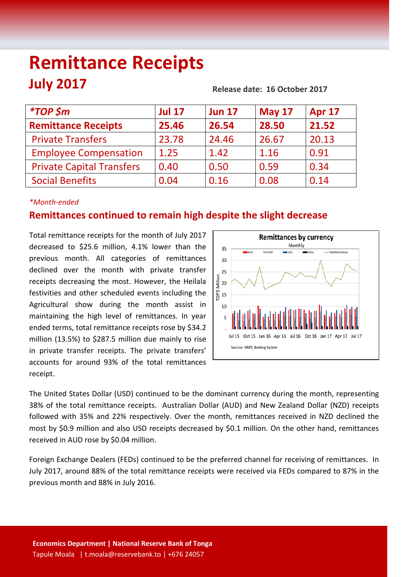# **Remittance Receipts July 2017 Release date: 16 October <sup>2017</sup>**

| <i>*TOP</i> \$m                  | <b>Jul 17</b> | <b>Jun 17</b> | <b>May 17</b> | <b>Apr 17</b> |
|----------------------------------|---------------|---------------|---------------|---------------|
| <b>Remittance Receipts</b>       | 25.46         | 26.54         | 28.50         | 21.52         |
| <b>Private Transfers</b>         | 23.78         | 24.46         | 26.67         | 20.13         |
| <b>Employee Compensation</b>     | 1.25          | 1.42          | 1.16          | 0.91          |
| <b>Private Capital Transfers</b> | 0.40          | 0.50          | 0.59          | 0.34          |
| <b>Social Benefits</b>           | 0.04          | 0.16          | 0.08          | 0.14          |
|                                  |               |               |               |               |

# *\*Month-ended*

# **Remittances continued to remain high despite the slight decrease**

Total remittance receipts for the month of July 2017 decreased to \$25.6 million, 4.1% lower than the previous month. All categories of remittances declined over the month with private transfer receipts decreasing the most. However, the Heilala festivities and other scheduled events including the Agricultural show during the month assist in maintaining the high level of remittances. In year ended terms, total remittance receipts rose by \$34.2 million (13.5%) to \$287.5 million due mainly to rise in private transfer receipts. The private transfers' accounts for around 93% of the total remittances receipt.



The United States Dollar (USD) continued to be the dominant currency during the month, representing 38% of the total remittance receipts. Australian Dollar (AUD) and New Zealand Dollar (NZD) receipts followed with 35% and 22% respectively. Over the month, remittances received in NZD declined the most by \$0.9 million and also USD receipts decreased by \$0.1 million. On the other hand, remittances received in AUD rose by \$0.04 million.

Foreign Exchange Dealers (FEDs) continued to be the preferred channel for receiving of remittances. In July 2017, around 88% of the total remittance receipts were received via FEDs compared to 87% in the previous month and 88% in July 2016.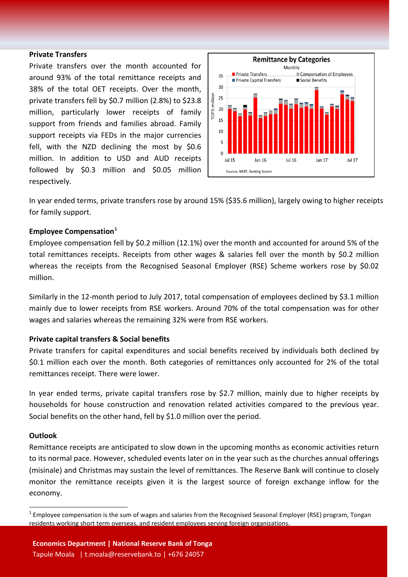#### **Private Transfers**

Private transfers over the month accounted for around 93% of the total remittance receipts and 38% of the total OET receipts. Over the month, private transfers fell by \$0.7 million (2.8%) to \$23.8 million, particularly lower receipts of family support from friends and families abroad. Family support receipts via FEDs in the major currencies fell, with the NZD declining the most by \$0.6 million. In addition to USD and AUD receipts followed by \$0.3 million and \$0.05 million respectively.



In year ended terms, private transfers rose by around 15% (\$35.6 million), largely owing to higher receipts for family support.

### **Employee Compensation[1](#page-1-0)**

Employee compensation fell by \$0.2 million (12.1%) over the month and accounted for around 5% of the total remittances receipts. Receipts from other wages & salaries fell over the month by \$0.2 million whereas the receipts from the Recognised Seasonal Employer (RSE) Scheme workers rose by \$0.02 million.

Similarly in the 12-month period to July 2017, total compensation of employees declined by \$3.1 million mainly due to lower receipts from RSE workers. Around 70% of the total compensation was for other wages and salaries whereas the remaining 32% were from RSE workers.

## **Private capital transfers & Social benefits**

Private transfers for capital expenditures and social benefits received by individuals both declined by \$0.1 million each over the month. Both categories of remittances only accounted for 2% of the total remittances receipt. There were lower.

In year ended terms, private capital transfers rose by \$2.7 million, mainly due to higher receipts by households for house construction and renovation related activities compared to the previous year. Social benefits on the other hand, fell by \$1.0 million over the period.

### **Outlook**

Remittance receipts are anticipated to slow down in the upcoming months as economic activities return to its normal pace. However, scheduled events later on in the year such as the churches annual offerings (misinale) and Christmas may sustain the level of remittances. The Reserve Bank will continue to closely monitor the remittance receipts given it is the largest source of foreign exchange inflow for the economy.

<span id="page-1-0"></span> $1$  Employee compensation is the sum of wages and salaries from the Recognised Seasonal Employer (RSE) program, Tongan residents working short term overseas, and resident employees serving foreign organizations.